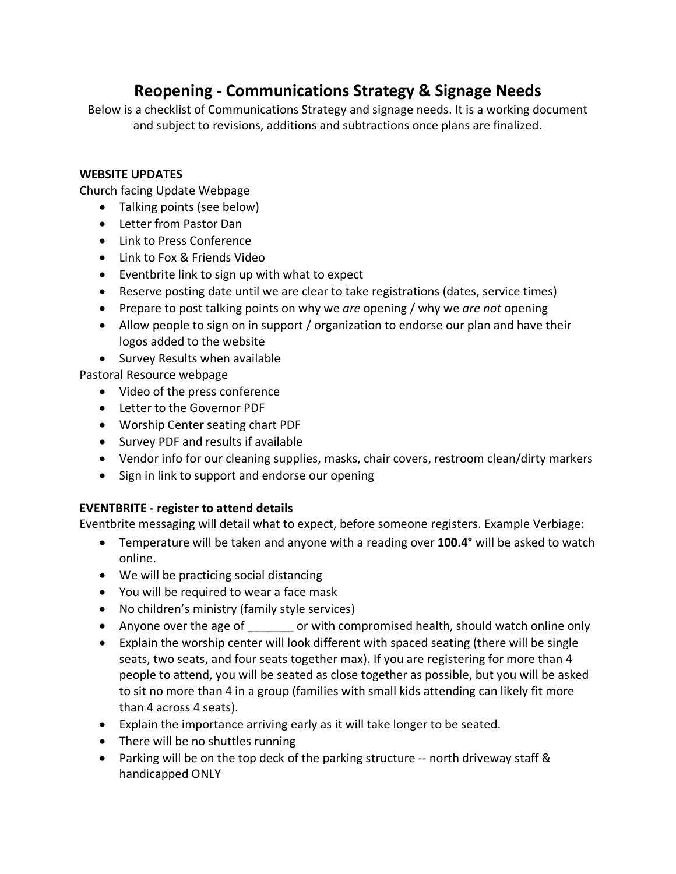# **Reopening - Communications Strategy & Signage Needs**

Below is a checklist of Communications Strategy and signage needs. It is a working document and subject to revisions, additions and subtractions once plans are finalized.

### **WEBSITE UPDATES**

Church facing Update Webpage

- Talking points (see below)
- Letter from Pastor Dan
- Link to Press Conference
- Link to Fox & Friends Video
- Eventbrite link to sign up with what to expect
- Reserve posting date until we are clear to take registrations (dates, service times)
- Prepare to post talking points on why we *are* opening / why we *are not* opening
- Allow people to sign on in support / organization to endorse our plan and have their logos added to the website
- Survey Results when available

Pastoral Resource webpage

- Video of the press conference
- Letter to the Governor PDF
- Worship Center seating chart PDF
- Survey PDF and results if available
- Vendor info for our cleaning supplies, masks, chair covers, restroom clean/dirty markers
- Sign in link to support and endorse our opening

## **EVENTBRITE - register to attend details**

Eventbrite messaging will detail what to expect, before someone registers. Example Verbiage:

- Temperature will be taken and anyone with a reading over **100.4°** will be asked to watch online.
- We will be practicing social distancing
- You will be required to wear a face mask
- No children's ministry (family style services)
- Anyone over the age of each with compromised health, should watch online only
- Explain the worship center will look different with spaced seating (there will be single seats, two seats, and four seats together max). If you are registering for more than 4 people to attend, you will be seated as close together as possible, but you will be asked to sit no more than 4 in a group (families with small kids attending can likely fit more than 4 across 4 seats).
- Explain the importance arriving early as it will take longer to be seated.
- There will be no shuttles running
- Parking will be on the top deck of the parking structure -- north driveway staff & handicapped ONLY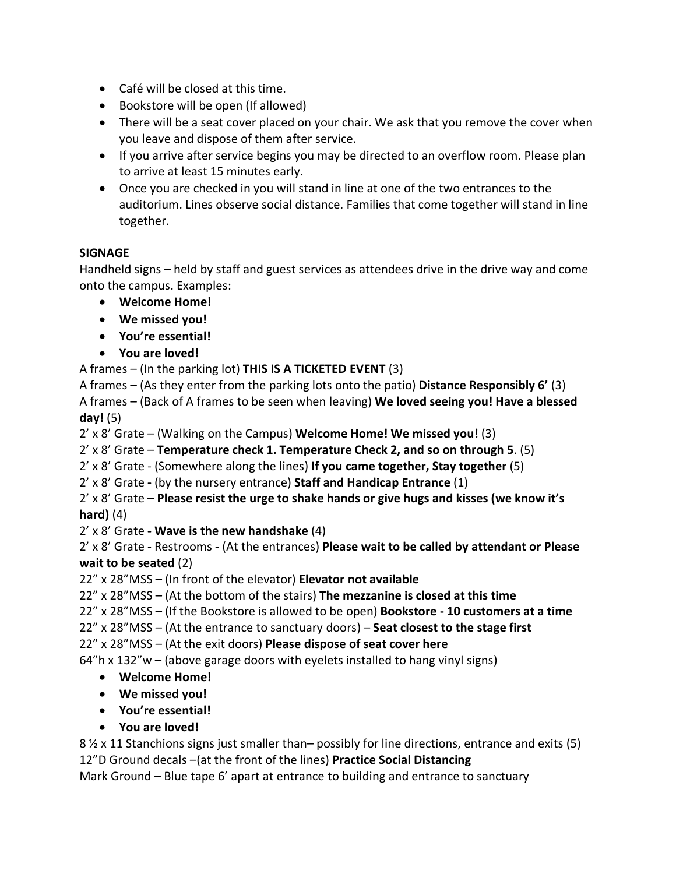- Café will be closed at this time.
- Bookstore will be open (If allowed)
- There will be a seat cover placed on your chair. We ask that you remove the cover when you leave and dispose of them after service.
- If you arrive after service begins you may be directed to an overflow room. Please plan to arrive at least 15 minutes early.
- Once you are checked in you will stand in line at one of the two entrances to the auditorium. Lines observe social distance. Families that come together will stand in line together.

## **SIGNAGE**

Handheld signs – held by staff and guest services as attendees drive in the drive way and come onto the campus. Examples:

- **Welcome Home!**
- **We missed you!**
- **You're essential!**
- **You are loved!**

A frames – (In the parking lot) **THIS IS A TICKETED EVENT** (3)

A frames – (As they enter from the parking lots onto the patio) **Distance Responsibly 6'** (3) A frames – (Back of A frames to be seen when leaving) **We loved seeing you! Have a blessed day!** (5)

2' x 8' Grate – (Walking on the Campus) **Welcome Home! We missed you!** (3)

2' x 8' Grate – **Temperature check 1. Temperature Check 2, and so on through 5**. (5)

- 2' x 8' Grate (Somewhere along the lines) **If you came together, Stay together** (5)
- 2' x 8' Grate **-** (by the nursery entrance) **Staff and Handicap Entrance** (1)
- 2' x 8' Grate **Please resist the urge to shake hands or give hugs and kisses (we know it's hard)** (4)
- 2' x 8' Grate **- Wave is the new handshake** (4)

2' x 8' Grate - Restrooms - (At the entrances) **Please wait to be called by attendant or Please wait to be seated** (2)

22" x 28"MSS – (In front of the elevator) **Elevator not available** 

22" x 28"MSS – (At the bottom of the stairs) **The mezzanine is closed at this time**

22" x 28"MSS – (If the Bookstore is allowed to be open) **Bookstore - 10 customers at a time**

22" x 28"MSS – (At the entrance to sanctuary doors) – **Seat closest to the stage first** 

22" x 28"MSS – (At the exit doors) **Please dispose of seat cover here**

64"h x 132"w – (above garage doors with eyelets installed to hang vinyl signs)

- **Welcome Home!**
- **We missed you!**
- **You're essential!**
- **You are loved!**

8 ½ x 11 Stanchions signs just smaller than– possibly for line directions, entrance and exits (5) 12"D Ground decals –(at the front of the lines) **Practice Social Distancing**

Mark Ground – Blue tape 6' apart at entrance to building and entrance to sanctuary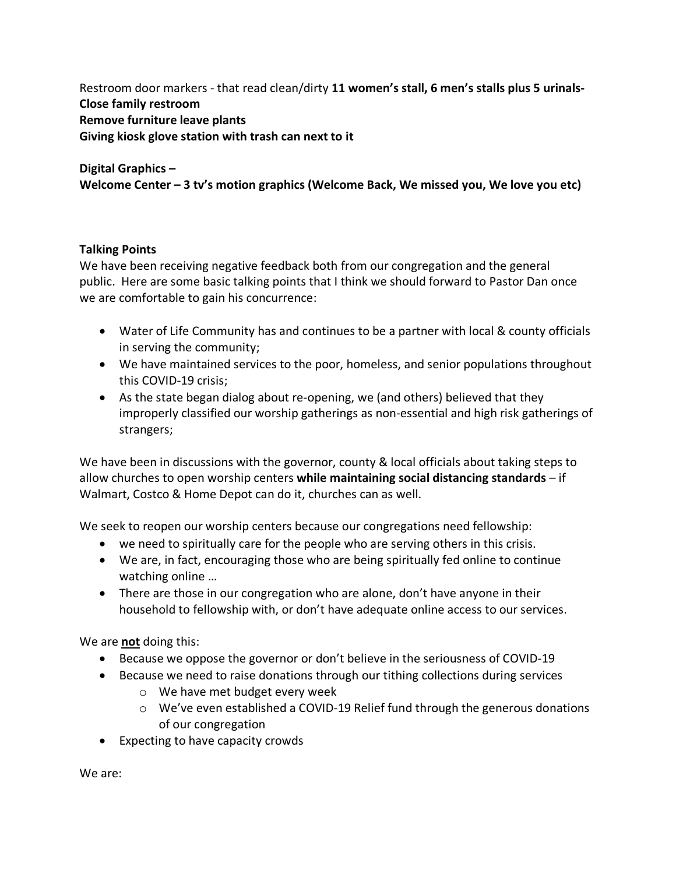Restroom door markers - that read clean/dirty **11 women's stall, 6 men's stalls plus 5 urinals-Close family restroom Remove furniture leave plants Giving kiosk glove station with trash can next to it**

## **Digital Graphics – Welcome Center – 3 tv's motion graphics (Welcome Back, We missed you, We love you etc)**

#### **Talking Points**

We have been receiving negative feedback both from our congregation and the general public. Here are some basic talking points that I think we should forward to Pastor Dan once we are comfortable to gain his concurrence:

- Water of Life Community has and continues to be a partner with local & county officials in serving the community;
- We have maintained services to the poor, homeless, and senior populations throughout this COVID-19 crisis;
- As the state began dialog about re-opening, we (and others) believed that they improperly classified our worship gatherings as non-essential and high risk gatherings of strangers;

We have been in discussions with the governor, county & local officials about taking steps to allow churches to open worship centers **while maintaining social distancing standards** – if Walmart, Costco & Home Depot can do it, churches can as well.

We seek to reopen our worship centers because our congregations need fellowship:

- we need to spiritually care for the people who are serving others in this crisis.
- We are, in fact, encouraging those who are being spiritually fed online to continue watching online …
- There are those in our congregation who are alone, don't have anyone in their household to fellowship with, or don't have adequate online access to our services.

We are **not** doing this:

- Because we oppose the governor or don't believe in the seriousness of COVID-19
- Because we need to raise donations through our tithing collections during services
	- o We have met budget every week
	- $\circ$  We've even established a COVID-19 Relief fund through the generous donations of our congregation
- Expecting to have capacity crowds

We are: